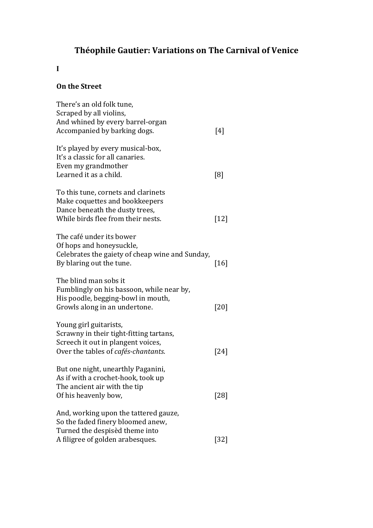# **Théophile Gautier: Variations on The Carnival of Venice**

## **I**

#### **On the Street**

| There's an old folk tune,<br>Scraped by all violins,                        |        |
|-----------------------------------------------------------------------------|--------|
| And whined by every barrel-organ<br>Accompanied by barking dogs.            | [4]    |
| It's played by every musical-box,<br>It's a classic for all canaries.       |        |
| Even my grandmother<br>Learned it as a child.                               | [8]    |
| To this tune, cornets and clarinets<br>Make coquettes and bookkeepers       |        |
| Dance beneath the dusty trees,<br>While birds flee from their nests.        | $[12]$ |
| The café under its bower<br>Of hops and honeysuckle,                        |        |
| Celebrates the gaiety of cheap wine and Sunday,<br>By blaring out the tune. | $[16]$ |
| The blind man sobs it<br>Fumblingly on his bassoon, while near by,          |        |
| His poodle, begging-bowl in mouth,<br>Growls along in an undertone.         | $[20]$ |
| Young girl guitarists,<br>Scrawny in their tight-fitting tartans,           |        |
| Screech it out in plangent voices,<br>Over the tables of cafés-chantants.   | [24]   |
| But one night, unearthly Paganini,<br>As if with a crochet-hook, took up    |        |
| The ancient air with the tip<br>Of his heavenly bow,                        | [28]   |
| And, working upon the tattered gauze,<br>So the faded finery bloomed anew,  |        |
| Turned the despisèd theme into<br>A filigree of golden arabesques.          | $[32]$ |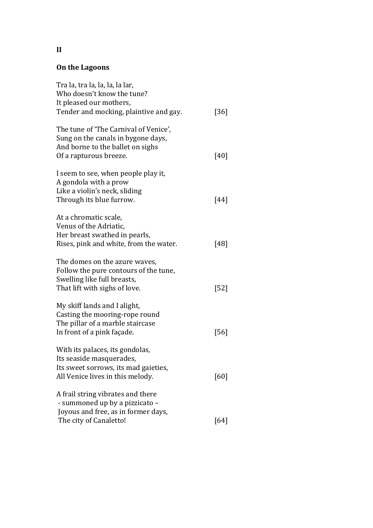## **On the Lagoons**

| Tra la, tra la, la, la, la lar,<br>Who doesn't know the tune?<br>It pleased our mothers,<br>Tender and mocking, plaintive and gay.        | $[36]$ |
|-------------------------------------------------------------------------------------------------------------------------------------------|--------|
| The tune of 'The Carnival of Venice',<br>Sung on the canals in bygone days,<br>And borne to the ballet on sighs<br>Of a rapturous breeze. | $[40]$ |
| I seem to see, when people play it,<br>A gondola with a prow<br>Like a violin's neck, sliding<br>Through its blue furrow.                 | [44]   |
| At a chromatic scale,<br>Venus of the Adriatic,<br>Her breast swathed in pearls,<br>Rises, pink and white, from the water.                | $[48]$ |
| The domes on the azure waves,<br>Follow the pure contours of the tune,<br>Swelling like full breasts,<br>That lift with sighs of love.    | [52]   |
| My skiff lands and I alight,<br>Casting the mooring-rope round<br>The pillar of a marble staircase<br>In front of a pink façade.          | [56]   |
| With its palaces, its gondolas,<br>Its seaside masquerades,<br>Its sweet sorrows, its mad gaieties,<br>All Venice lives in this melody.   | [60]   |
| A frail string vibrates and there<br>- summoned up by a pizzicato -<br>Joyous and free, as in former days,<br>The city of Canaletto!      | [64]   |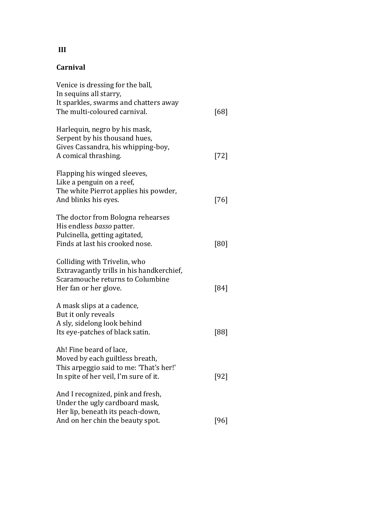## **Carnival**

| Venice is dressing for the ball,<br>In sequins all starry,                                                                                     |        |
|------------------------------------------------------------------------------------------------------------------------------------------------|--------|
| It sparkles, swarms and chatters away<br>The multi-coloured carnival.                                                                          | [68]   |
| Harlequin, negro by his mask,<br>Serpent by his thousand hues,<br>Gives Cassandra, his whipping-boy,<br>A comical thrashing.                   | $[72]$ |
| Flapping his winged sleeves,<br>Like a penguin on a reef,<br>The white Pierrot applies his powder,<br>And blinks his eyes.                     | $[76]$ |
| The doctor from Bologna rehearses<br>His endless basso patter.<br>Pulcinella, getting agitated,<br>Finds at last his crooked nose.             | [80]   |
| Colliding with Trivelin, who<br>Extravagantly trills in his handkerchief,<br>Scaramouche returns to Columbine<br>Her fan or her glove.         | [84]   |
| A mask slips at a cadence,<br>But it only reveals<br>A sly, sidelong look behind<br>Its eye-patches of black satin.                            | [88]   |
| Ah! Fine beard of lace,<br>Moved by each guiltless breath,<br>This arpeggio said to me: 'That's her!'<br>In spite of her veil, I'm sure of it. | [92]   |
| And I recognized, pink and fresh,<br>Under the ugly cardboard mask,<br>Her lip, beneath its peach-down,<br>And on her chin the beauty spot.    | [96]   |

**III**